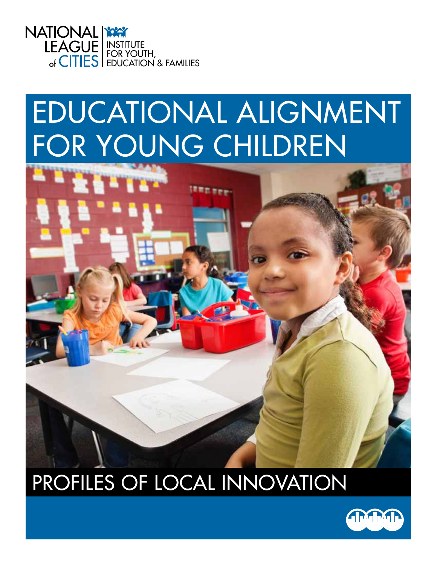

# EDUCATIONAL ALIGNMENT FOR YOUNG CHILDREN



## PROFILES OF LOCAL INNOVATION

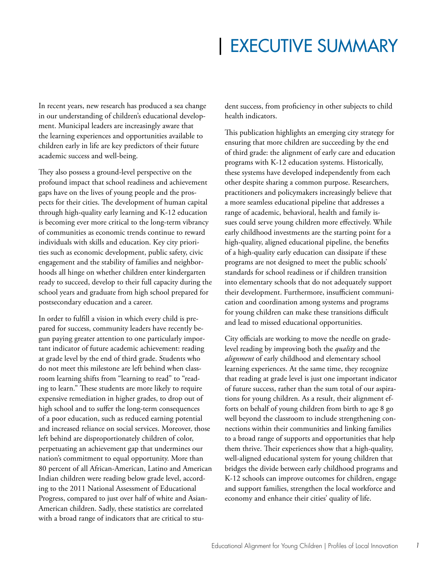## | EXECUTIVE SUMMARY

In recent years, new research has produced a sea change in our understanding of children's educational development. Municipal leaders are increasingly aware that the learning experiences and opportunities available to children early in life are key predictors of their future academic success and well-being.

They also possess a ground-level perspective on the profound impact that school readiness and achievement gaps have on the lives of young people and the prospects for their cities. The development of human capital through high-quality early learning and K-12 education is becoming ever more critical to the long-term vibrancy of communities as economic trends continue to reward individuals with skills and education. Key city priorities such as economic development, public safety, civic engagement and the stability of families and neighborhoods all hinge on whether children enter kindergarten ready to succeed, develop to their full capacity during the school years and graduate from high school prepared for postsecondary education and a career.

In order to fulfill a vision in which every child is prepared for success, community leaders have recently begun paying greater attention to one particularly important indicator of future academic achievement: reading at grade level by the end of third grade. Students who do not meet this milestone are left behind when classroom learning shifts from "learning to read" to "reading to learn." These students are more likely to require expensive remediation in higher grades, to drop out of high school and to suffer the long-term consequences of a poor education, such as reduced earning potential and increased reliance on social services. Moreover, those left behind are disproportionately children of color, perpetuating an achievement gap that undermines our nation's commitment to equal opportunity. More than 80 percent of all African-American, Latino and American Indian children were reading below grade level, according to the 2011 National Assessment of Educational Progress, compared to just over half of white and Asian-American children. Sadly, these statistics are correlated with a broad range of indicators that are critical to student success, from proficiency in other subjects to child health indicators.

This publication highlights an emerging city strategy for ensuring that more children are succeeding by the end of third grade: the alignment of early care and education programs with K-12 education systems. Historically, these systems have developed independently from each other despite sharing a common purpose. Researchers, practitioners and policymakers increasingly believe that a more seamless educational pipeline that addresses a range of academic, behavioral, health and family issues could serve young children more effectively. While early childhood investments are the starting point for a high-quality, aligned educational pipeline, the benefits of a high-quality early education can dissipate if these programs are not designed to meet the public schools' standards for school readiness or if children transition into elementary schools that do not adequately support their development. Furthermore, insufficient communication and coordination among systems and programs for young children can make these transitions difficult and lead to missed educational opportunities.

City officials are working to move the needle on gradelevel reading by improving both the *quality* and the *alignment* of early childhood and elementary school learning experiences. At the same time, they recognize that reading at grade level is just one important indicator of future success, rather than the sum total of our aspirations for young children. As a result, their alignment efforts on behalf of young children from birth to age 8 go well beyond the classroom to include strengthening connections within their communities and linking families to a broad range of supports and opportunities that help them thrive. Their experiences show that a high-quality, well-aligned educational system for young children that bridges the divide between early childhood programs and K-12 schools can improve outcomes for children, engage and support families, strengthen the local workforce and economy and enhance their cities' quality of life.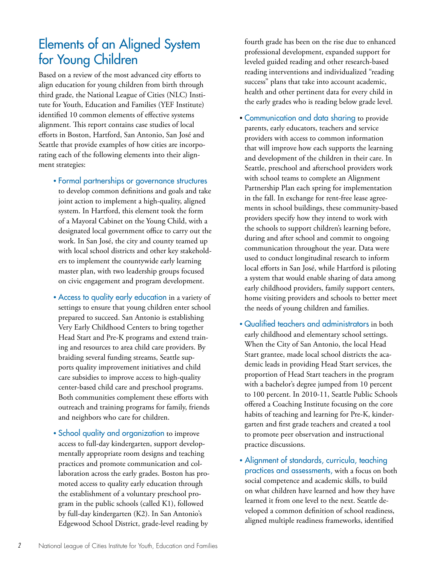## Elements of an Aligned System for Young Children

Based on a review of the most advanced city efforts to align education for young children from birth through third grade, the National League of Cities (NLC) Institute for Youth, Education and Families (YEF Institute) identified 10 common elements of effective systems alignment. This report contains case studies of local efforts in Boston, Hartford, San Antonio, San José and Seattle that provide examples of how cities are incorporating each of the following elements into their alignment strategies:

- Formal partnerships or governance structures to develop common definitions and goals and take joint action to implement a high-quality, aligned system. In Hartford, this element took the form of a Mayoral Cabinet on the Young Child, with a designated local government office to carry out the work. In San José, the city and county teamed up with local school districts and other key stakeholders to implement the countywide early learning master plan, with two leadership groups focused on civic engagement and program development.
- Access to quality early education in a variety of settings to ensure that young children enter school prepared to succeed. San Antonio is establishing Very Early Childhood Centers to bring together Head Start and Pre-K programs and extend training and resources to area child care providers. By braiding several funding streams, Seattle supports quality improvement initiatives and child care subsidies to improve access to high-quality center-based child care and preschool programs. Both communities complement these efforts with outreach and training programs for family, friends and neighbors who care for children.
- School quality and organization to improve access to full-day kindergarten, support developmentally appropriate room designs and teaching practices and promote communication and collaboration across the early grades. Boston has promoted access to quality early education through the establishment of a voluntary preschool program in the public schools (called K1), followed by full-day kindergarten (K2). In San Antonio's Edgewood School District, grade-level reading by

fourth grade has been on the rise due to enhanced professional development, expanded support for leveled guided reading and other research-based reading interventions and individualized "reading success" plans that take into account academic, health and other pertinent data for every child in the early grades who is reading below grade level.

- Communication and data sharing to provide parents, early educators, teachers and service providers with access to common information that will improve how each supports the learning and development of the children in their care. In Seattle, preschool and afterschool providers work with school teams to complete an Alignment Partnership Plan each spring for implementation in the fall. In exchange for rent-free lease agreements in school buildings, these community-based providers specify how they intend to work with the schools to support children's learning before, during and after school and commit to ongoing communication throughout the year. Data were used to conduct longitudinal research to inform local efforts in San José, while Hartford is piloting a system that would enable sharing of data among early childhood providers, family support centers, home visiting providers and schools to better meet the needs of young children and families.
- Qualified teachers and administrators in both early childhood and elementary school settings. When the City of San Antonio, the local Head Start grantee, made local school districts the academic leads in providing Head Start services, the proportion of Head Start teachers in the program with a bachelor's degree jumped from 10 percent to 100 percent. In 2010-11, Seattle Public Schools offered a Coaching Institute focusing on the core habits of teaching and learning for Pre-K, kindergarten and first grade teachers and created a tool to promote peer observation and instructional practice discussions.
- Alignment of standards, curricula, teaching practices and assessments, with a focus on both social competence and academic skills, to build on what children have learned and how they have learned it from one level to the next. Seattle developed a common definition of school readiness, aligned multiple readiness frameworks, identified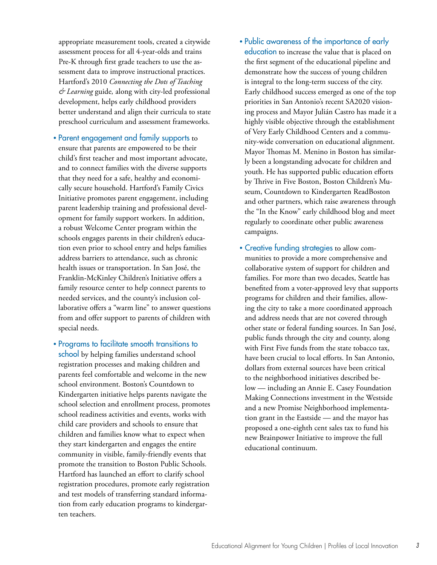appropriate measurement tools, created a citywide assessment process for all 4-year-olds and trains Pre-K through first grade teachers to use the assessment data to improve instructional practices. Hartford's 2010 *Connecting the Dots of Teaching & Learning* guide*,* along with city-led professional development, helps early childhood providers better understand and align their curricula to state preschool curriculum and assessment frameworks.

- Parent engagement and family supports to ensure that parents are empowered to be their child's first teacher and most important advocate, and to connect families with the diverse supports that they need for a safe, healthy and economically secure household. Hartford's Family Civics Initiative promotes parent engagement, including parent leadership training and professional development for family support workers. In addition, a robust Welcome Center program within the schools engages parents in their children's education even prior to school entry and helps families address barriers to attendance, such as chronic health issues or transportation. In San José, the Franklin-McKinley Children's Initiative offers a family resource center to help connect parents to needed services, and the county's inclusion collaborative offers a "warm line" to answer questions from and offer support to parents of children with special needs.
- Programs to facilitate smooth transitions to school by helping families understand school registration processes and making children and parents feel comfortable and welcome in the new school environment. Boston's Countdown to Kindergarten initiative helps parents navigate the school selection and enrollment process, promotes school readiness activities and events, works with child care providers and schools to ensure that children and families know what to expect when they start kindergarten and engages the entire community in visible, family-friendly events that promote the transition to Boston Public Schools. Hartford has launched an effort to clarify school registration procedures, promote early registration and test models of transferring standard information from early education programs to kindergarten teachers.
- Public awareness of the importance of early education to increase the value that is placed on the first segment of the educational pipeline and demonstrate how the success of young children is integral to the long-term success of the city. Early childhood success emerged as one of the top priorities in San Antonio's recent SA2020 visioning process and Mayor Julián Castro has made it a highly visible objective through the establishment of Very Early Childhood Centers and a community-wide conversation on educational alignment. Mayor Thomas M. Menino in Boston has similarly been a longstanding advocate for children and youth. He has supported public education efforts by Thrive in Five Boston, Boston Children's Museum, Countdown to Kindergarten ReadBoston and other partners, which raise awareness through the "In the Know" early childhood blog and meet regularly to coordinate other public awareness campaigns.
- Creative funding strategies to allow communities to provide a more comprehensive and collaborative system of support for children and families. For more than two decades, Seattle has benefited from a voter-approved levy that supports programs for children and their families, allowing the city to take a more coordinated approach and address needs that are not covered through other state or federal funding sources. In San José, public funds through the city and county, along with First Five funds from the state tobacco tax, have been crucial to local efforts. In San Antonio, dollars from external sources have been critical to the neighborhood initiatives described below — including an Annie E. Casey Foundation Making Connections investment in the Westside and a new Promise Neighborhood implementation grant in the Eastside — and the mayor has proposed a one-eighth cent sales tax to fund his new Brainpower Initiative to improve the full educational continuum.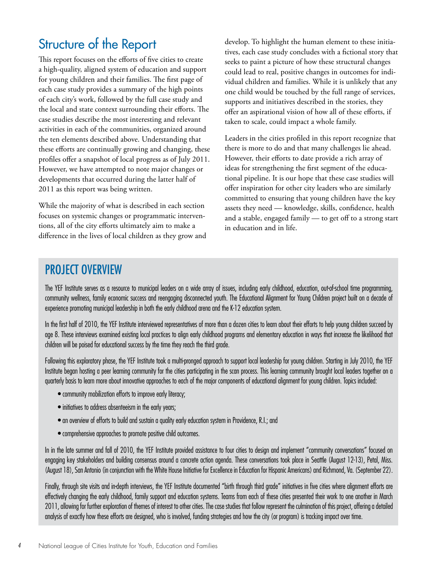## Structure of the Report

This report focuses on the efforts of five cities to create a high-quality, aligned system of education and support for young children and their families. The first page of each case study provides a summary of the high points of each city's work, followed by the full case study and the local and state context surrounding their efforts. The case studies describe the most interesting and relevant activities in each of the communities, organized around the ten elements described above. Understanding that these efforts are continually growing and changing, these profiles offer a snapshot of local progress as of July 2011. However, we have attempted to note major changes or developments that occurred during the latter half of 2011 as this report was being written.

While the majority of what is described in each section focuses on systemic changes or programmatic interventions, all of the city efforts ultimately aim to make a difference in the lives of local children as they grow and develop. To highlight the human element to these initiatives, each case study concludes with a fictional story that seeks to paint a picture of how these structural changes could lead to real, positive changes in outcomes for individual children and families. While it is unlikely that any one child would be touched by the full range of services, supports and initiatives described in the stories, they offer an aspirational vision of how all of these efforts, if taken to scale, could impact a whole family.

Leaders in the cities profiled in this report recognize that there is more to do and that many challenges lie ahead. However, their efforts to date provide a rich array of ideas for strengthening the first segment of the educational pipeline. It is our hope that these case studies will offer inspiration for other city leaders who are similarly committed to ensuring that young children have the key assets they need — knowledge, skills, confidence, health and a stable, engaged family - to get off to a strong start in education and in life.

#### PROJECT OVERVIEW

The YEF Institute serves as a resource to municipal leaders on a wide array of issues, including early childhood, education, out-of-school time programming, community wellness, family economic success and reengaging disconnected youth. The Educational Alignment for Young Children project built on a decade of experience promoting municipal leadership in both the early childhood arena and the K-12 education system.

In the first half of 2010, the YEF Institute interviewed representatives of more than a dozen cities to learn about their efforts to help young children succeed by age 8. These interviews examined existing local practices to align early childhood programs and elementary education in ways that increase the likelihood that children will be poised for educational success by the time they reach the third grade.

Following this exploratory phase, the YEF Institute took a multi-pronged approach to support local leadership for young children. Starting in July 2010, the YEF Institute began hosting a peer learning community for the cities participating in the scan process. This learning community brought local leaders together on a quarterly basis to learn more about innovative approaches to each of the major components of educational alignment for young children. Topics included:

- community mobilization efforts to improve early literacy;
- initiatives to address absenteeism in the early years;
- an overview of efforts to build and sustain a quality early education system in Providence, R.I.; and
- comprehensive approaches to promote positive child outcomes.

In in the late summer and fall of 2010, the YEF Institute provided assistance to four cities to design and implement "community conversations" focused on engaging key stakeholders and building consensus around a concrete action agenda. These conversations took place in Seattle (August 12-13), Petal, Miss. (August 18), San Antonio (in conjunction with the White House Initiative for Excellence in Education for Hispanic Americans) and Richmond, Va. (September 22).

Finally, through site visits and in-depth interviews, the YEF Institute documented "birth through third grade" initiatives in five cities where alignment efforts are effectively changing the early childhood, family support and education systems. Teams from each of these cities presented their work to one another in March 2011, allowing for further exploration of themes of interest to other cities. The case studies that follow represent the culmination of this project, offering a detailed analysis of exactly how these efforts are designed, who is involved, funding strategies and how the city (or program) is tracking impact over time.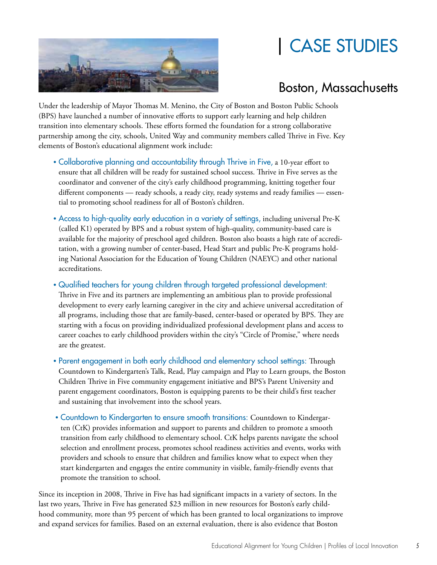## | CASE STUDIES



### Boston, Massachusetts

Under the leadership of Mayor Thomas M. Menino, the City of Boston and Boston Public Schools (BPS) have launched a number of innovative efforts to support early learning and help children transition into elementary schools. These efforts formed the foundation for a strong collaborative partnership among the city, schools, United Way and community members called Thrive in Five. Key elements of Boston's educational alignment work include:

- Collaborative planning and accountability through Thrive in Five, a 10-year effort to ensure that all children will be ready for sustained school success. Thrive in Five serves as the coordinator and convener of the city's early childhood programming, knitting together four different components — ready schools, a ready city, ready systems and ready families — essential to promoting school readiness for all of Boston's children.
- Access to high-quality early education in a variety of settings, including universal Pre-K (called K1) operated by BPS and a robust system of high-quality, community-based care is available for the majority of preschool aged children. Boston also boasts a high rate of accreditation, with a growing number of center-based, Head Start and public Pre-K programs holding National Association for the Education of Young Children (NAEYC) and other national accreditations.

• Qualified teachers for young children through targeted professional development:

Thrive in Five and its partners are implementing an ambitious plan to provide professional development to every early learning caregiver in the city and achieve universal accreditation of all programs, including those that are family-based, center-based or operated by BPS. They are starting with a focus on providing individualized professional development plans and access to career coaches to early childhood providers within the city's "Circle of Promise," where needs are the greatest.

- Parent engagement in both early childhood and elementary school settings: Through Countdown to Kindergarten's Talk, Read, Play campaign and Play to Learn groups, the Boston Children Thrive in Five community engagement initiative and BPS's Parent University and parent engagement coordinators, Boston is equipping parents to be their child's first teacher and sustaining that involvement into the school years.
- Countdown to Kindergarten to ensure smooth transitions: Countdown to Kindergarten (CtK) provides information and support to parents and children to promote a smooth transition from early childhood to elementary school. CtK helps parents navigate the school selection and enrollment process, promotes school readiness activities and events, works with providers and schools to ensure that children and families know what to expect when they start kindergarten and engages the entire community in visible, family-friendly events that promote the transition to school.

Since its inception in 2008, Thrive in Five has had significant impacts in a variety of sectors. In the last two years, Thrive in Five has generated \$23 million in new resources for Boston's early childhood community, more than 95 percent of which has been granted to local organizations to improve and expand services for families. Based on an external evaluation, there is also evidence that Boston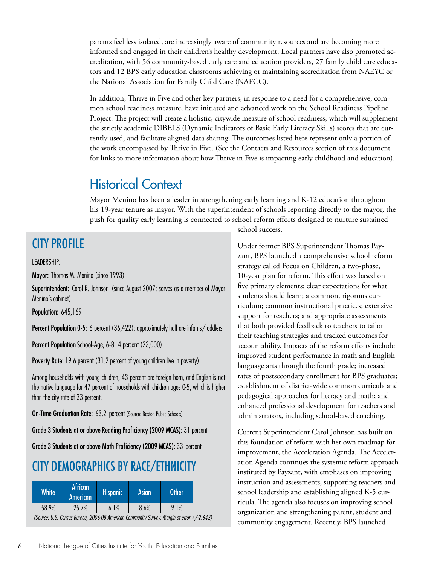parents feel less isolated, are increasingly aware of community resources and are becoming more informed and engaged in their children's healthy development. Local partners have also promoted accreditation, with 56 community-based early care and education providers, 27 family child care educators and 12 BPS early education classrooms achieving or maintaining accreditation from NAEYC or the National Association for Family Child Care (NAFCC).

In addition, Thrive in Five and other key partners, in response to a need for a comprehensive, common school readiness measure, have initiated and advanced work on the School Readiness Pipeline Project. The project will create a holistic, citywide measure of school readiness, which will supplement the strictly academic DIBELS (Dynamic Indicators of Basic Early Literacy Skills) scores that are currently used, and facilitate aligned data sharing. The outcomes listed here represent only a portion of the work encompassed by Thrive in Five. (See the Contacts and Resources section of this document for links to more information about how Thrive in Five is impacting early childhood and education).

#### Historical Context

Mayor Menino has been a leader in strengthening early learning and K-12 education throughout his 19-year tenure as mayor. With the superintendent of schools reporting directly to the mayor, the push for quality early learning is connected to school reform efforts designed to nurture sustained

### CITY PROFILE

#### LEADERSHIP:

Mayor: Thomas M. Menino (since 1993)

Superintendent: Carol R. Johnson (since August 2007; serves as a member of Mayor Menino's cabinet)

Population: 645,169

Percent Population 0-5: 6 percent (36,422); approximately half are infants/toddlers

Percent Population School-Age, 6-8: 4 percent (23,000)

Poverty Rate: 19.6 percent (31.2 percent of young children live in poverty)

Among households with young children, 43 percent are foreign born, and English is not the native language for 47 percent of households with children ages 0-5, which is higher than the city rate of 33 percent.

**On-Time Graduation Rate: 63.2 percent (Source: Boston Public Schools)** 

Grade 3 Students at or above Reading Proficiency (2009 MCAS): 31 percent

Grade 3 Students at or above Math Proficiency (2009 MCAS): 33 percent

#### CITY DEMOGRAPHICS BY RACE/ETHNICITY

| <b>White</b> | <b>African</b><br><b>American</b> | <b>Hispanic</b> | Asian' | <b>Other</b>                                                                              |  |
|--------------|-----------------------------------|-----------------|--------|-------------------------------------------------------------------------------------------|--|
| 58.9%        | 25.7%                             | 16.1%           | 8.6%   | 9.1%                                                                                      |  |
|              |                                   |                 |        | (Source: U.S. Census Bureau, 2006-08 American Community Survey. Margin of error +/-2.642) |  |

school success.

Under former BPS Superintendent Thomas Payzant, BPS launched a comprehensive school reform strategy called Focus on Children, a two-phase, 10-year plan for reform. This effort was based on five primary elements: clear expectations for what students should learn; a common, rigorous curriculum; common instructional practices; extensive support for teachers; and appropriate assessments that both provided feedback to teachers to tailor their teaching strategies and tracked outcomes for accountability. Impacts of the reform efforts include improved student performance in math and English language arts through the fourth grade; increased rates of postsecondary enrollment for BPS graduates; establishment of district-wide common curricula and pedagogical approaches for literacy and math; and enhanced professional development for teachers and administrators, including school-based coaching.

Current Superintendent Carol Johnson has built on this foundation of reform with her own roadmap for improvement, the Acceleration Agenda. The Acceleration Agenda continues the systemic reform approach instituted by Payzant, with emphases on improving instruction and assessments, supporting teachers and school leadership and establishing aligned K-5 curricula. The agenda also focuses on improving school organization and strengthening parent, student and community engagement. Recently, BPS launched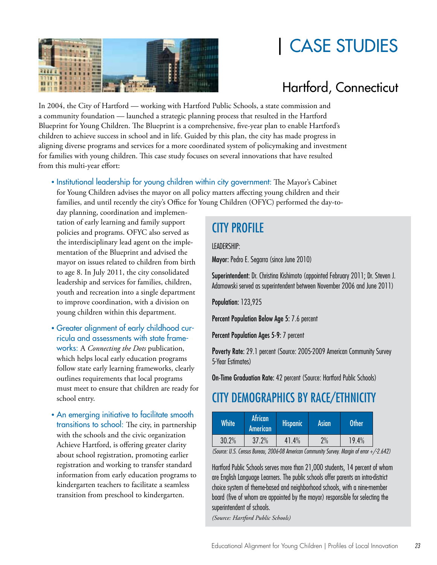



## Hartford, Connecticut

In 2004, the City of Hartford — working with Hartford Public Schools, a state commission and a community foundation — launched a strategic planning process that resulted in the Hartford Blueprint for Young Children. The Blueprint is a comprehensive, five-year plan to enable Hartford's children to achieve success in school and in life. Guided by this plan, the city has made progress in aligning diverse programs and services for a more coordinated system of policymaking and investment for families with young children. This case study focuses on several innovations that have resulted from this multi-year effort:

• Institutional leadership for young children within city government: The Mayor's Cabinet for Young Children advises the mayor on all policy matters affecting young children and their families, and until recently the city's Office for Young Children (OFYC) performed the day-to-

day planning, coordination and implementation of early learning and family support policies and programs. OFYC also served as the interdisciplinary lead agent on the implementation of the Blueprint and advised the mayor on issues related to children from birth to age 8. In July 2011, the city consolidated leadership and services for families, children, youth and recreation into a single department to improve coordination, with a division on young children within this department.

- Greater alignment of early childhood curricula and assessments with state frameworks: A *Connecting the Dots* publication, which helps local early education programs follow state early learning frameworks, clearly outlines requirements that local programs must meet to ensure that children are ready for school entry.
- An emerging initiative to facilitate smooth transitions to school: The city, in partnership with the schools and the civic organization Achieve Hartford, is offering greater clarity about school registration, promoting earlier registration and working to transfer standard information from early education programs to kindergarten teachers to facilitate a seamless transition from preschool to kindergarten.

## CITY PROFILE

LEADERSHIP:

Mayor: Pedro E. Segarra (since June 2010)

Superintendent: Dr. Christina Kishimoto (appointed February 2011; Dr. Steven J. Adamowski served as superintendent between November 2006 and June 2011)

Population: 123,925

Percent Population Below Age 5: 7.6 percent

Percent Population Ages 5-9: 7 percent

Poverty Rate: 29.1 percent (Source: 2005-2009 American Community Survey 5-Year Estimates)

On-Time Graduation Rate: 42 percent (Source: Hartford Public Schools)

## CITY DEMOGRAPHICS BY RACE/ETHNICITY

| White' | <b>African</b><br>American | Hispanic | <b>Asian</b> | Other |
|--------|----------------------------|----------|--------------|-------|
| 30.2%  | 37.2%                      | 41.4%    | 2%           | 19.4% |

(Source: U.S. Census Bureau, 2006-08 American Community Survey. Margin of error +/-2.642)

Hartford Public Schools serves more than 21,000 students, 14 percent of whom are English Language Learners. The public schools offer parents an intra-district choice system of theme-based and neighborhood schools, with a nine-member board (five of whom are appointed by the mayor) responsible for selecting the superintendent of schools.

*(Source: Hartford Public Schools)*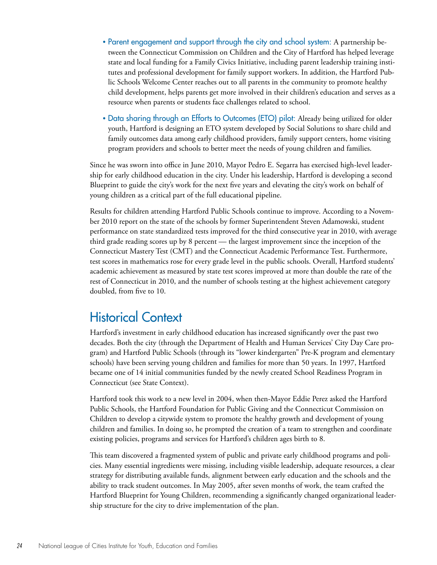- Parent engagement and support through the city and school system: A partnership between the Connecticut Commission on Children and the City of Hartford has helped leverage state and local funding for a Family Civics Initiative, including parent leadership training institutes and professional development for family support workers. In addition, the Hartford Public Schools Welcome Center reaches out to all parents in the community to promote healthy child development, helps parents get more involved in their children's education and serves as a resource when parents or students face challenges related to school.
- Data sharing through an Efforts to Outcomes (ETO) pilot: Already being utilized for older youth, Hartford is designing an ETO system developed by Social Solutions to share child and family outcomes data among early childhood providers, family support centers, home visiting program providers and schools to better meet the needs of young children and families.

Since he was sworn into office in June 2010, Mayor Pedro E. Segarra has exercised high-level leadership for early childhood education in the city. Under his leadership, Hartford is developing a second Blueprint to guide the city's work for the next five years and elevating the city's work on behalf of young children as a critical part of the full educational pipeline.

Results for children attending Hartford Public Schools continue to improve. According to a November 2010 report on the state of the schools by former Superintendent Steven Adamowski, student performance on state standardized tests improved for the third consecutive year in 2010, with average third grade reading scores up by 8 percent — the largest improvement since the inception of the Connecticut Mastery Test (CMT) and the Connecticut Academic Performance Test. Furthermore, test scores in mathematics rose for every grade level in the public schools. Overall, Hartford students' academic achievement as measured by state test scores improved at more than double the rate of the rest of Connecticut in 2010, and the number of schools testing at the highest achievement category doubled, from five to 10.

### Historical Context

Hartford's investment in early childhood education has increased significantly over the past two decades. Both the city (through the Department of Health and Human Services' City Day Care program) and Hartford Public Schools (through its "lower kindergarten" Pre-K program and elementary schools) have been serving young children and families for more than 50 years. In 1997, Hartford became one of 14 initial communities funded by the newly created School Readiness Program in Connecticut (see State Context).

Hartford took this work to a new level in 2004, when then-Mayor Eddie Perez asked the Hartford Public Schools, the Hartford Foundation for Public Giving and the Connecticut Commission on Children to develop a citywide system to promote the healthy growth and development of young children and families. In doing so, he prompted the creation of a team to strengthen and coordinate existing policies, programs and services for Hartford's children ages birth to 8.

This team discovered a fragmented system of public and private early childhood programs and policies. Many essential ingredients were missing, including visible leadership, adequate resources, a clear strategy for distributing available funds, alignment between early education and the schools and the ability to track student outcomes. In May 2005, after seven months of work, the team crafted the Hartford Blueprint for Young Children, recommending a significantly changed organizational leadership structure for the city to drive implementation of the plan.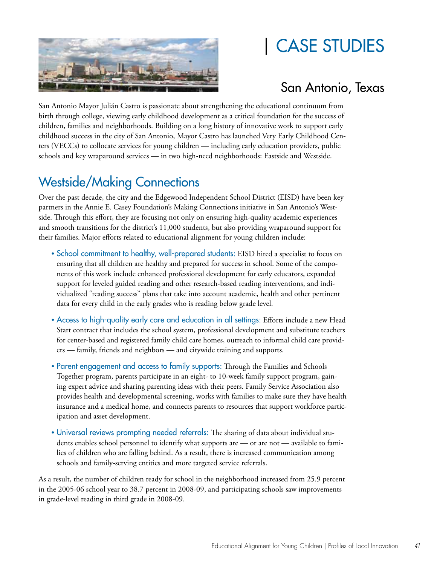

## | CASE STUDIES

### San Antonio, Texas

San Antonio Mayor Julián Castro is passionate about strengthening the educational continuum from birth through college, viewing early childhood development as a critical foundation for the success of children, families and neighborhoods. Building on a long history of innovative work to support early childhood success in the city of San Antonio, Mayor Castro has launched Very Early Childhood Centers (VECCs) to collocate services for young children — including early education providers, public schools and key wraparound services — in two high-need neighborhoods: Eastside and Westside.

## Westside/Making Connections

Over the past decade, the city and the Edgewood Independent School District (EISD) have been key partners in the Annie E. Casey Foundation's Making Connections initiative in San Antonio's Westside. Through this effort, they are focusing not only on ensuring high-quality academic experiences and smooth transitions for the district's 11,000 students, but also providing wraparound support for their families. Major efforts related to educational alignment for young children include:

- School commitment to healthy, well-prepared students: EISD hired a specialist to focus on ensuring that all children are healthy and prepared for success in school. Some of the components of this work include enhanced professional development for early educators, expanded support for leveled guided reading and other research-based reading interventions, and individualized "reading success" plans that take into account academic, health and other pertinent data for every child in the early grades who is reading below grade level.
- Access to high-quality early care and education in all settings: Efforts include a new Head Start contract that includes the school system, professional development and substitute teachers for center-based and registered family child care homes, outreach to informal child care providers — family, friends and neighbors — and citywide training and supports.
- Parent engagement and access to family supports: Through the Families and Schools Together program, parents participate in an eight- to 10-week family support program, gaining expert advice and sharing parenting ideas with their peers. Family Service Association also provides health and developmental screening, works with families to make sure they have health insurance and a medical home, and connects parents to resources that support workforce participation and asset development.
- Universal reviews prompting needed referrals: The sharing of data about individual students enables school personnel to identify what supports are — or are not — available to families of children who are falling behind. As a result, there is increased communication among schools and family-serving entities and more targeted service referrals.

As a result, the number of children ready for school in the neighborhood increased from 25.9 percent in the 2005-06 school year to 38.7 percent in 2008-09, and participating schools saw improvements in grade-level reading in third grade in 2008-09.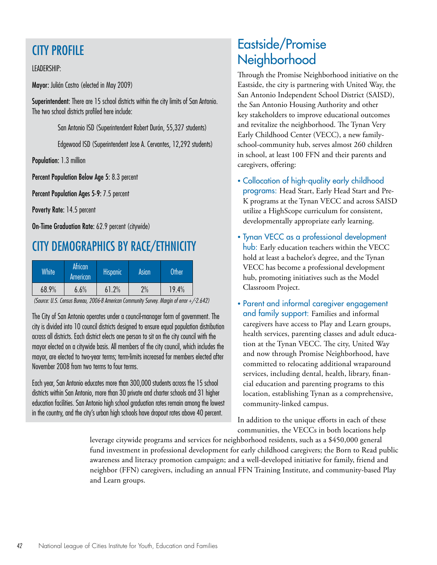### CITY PROFILE

#### LEADERSHIP:

Mayor: Julián Castro (elected in May 2009)

Superintendent: There are 15 school districts within the city limits of San Antonio. The two school districts profiled here include:

San Antonio ISD (Superintendent Robert Durón, 55,327 students)

Edgewood ISD (Superintendent Jose A. Cervantes, 12,292 students)

Population: 1.3 million

Percent Population Below Age 5: 8.3 percent

Percent Population Ages 5-9: 7.5 percent

Poverty Rate: 14.5 percent

On-Time Graduation Rate: 62.9 percent (citywide)

### CITY DEMOGRAPHICS BY RACE/ETHNICITY

| <b>White</b> | <b>African</b><br>American | <b>Hispanic</b> | Asian | Other |
|--------------|----------------------------|-----------------|-------|-------|
| 68.9%        | $6.6\%$                    | 61.2%           | 2%    | 19.4% |

(Source: U.S. Census Bureau, 2006-8 American Community Survey. Margin of error +/-2.642)

The City of San Antonio operates under a council-manager form of government. The city is divided into 10 council districts designed to ensure equal population distribution across all districts. Each district elects one person to sit on the city council with the mayor elected on a citywide basis. All members of the city council, which includes the mayor, are elected to two-year terms; term-limits increased for members elected after November 2008 from two terms to four terms.

Each year, San Antonio educates more than 300,000 students across the 15 school districts within San Antonio, more than 30 private and charter schools and 31 higher education facilities. San Antonio high school graduation rates remain among the lowest in the country, and the city's urban high schools have dropout rates above 40 percent.

## Eastside/Promise Neighborhood

Through the Promise Neighborhood initiative on the Eastside, the city is partnering with United Way, the San Antonio Independent School District (SAISD), the San Antonio Housing Authority and other key stakeholders to improve educational outcomes and revitalize the neighborhood. The Tynan Very Early Childhood Center (VECC), a new familyschool-community hub, serves almost 260 children in school, at least 100 FFN and their parents and caregivers, offering:

- Collocation of high-quality early childhood programs: Head Start, Early Head Start and Pre-K programs at the Tynan VECC and across SAISD utilize a HighScope curriculum for consistent, developmentally appropriate early learning.
- Tynan VECC as a professional development hub: Early education teachers within the VECC hold at least a bachelor's degree, and the Tynan VECC has become a professional development hub, promoting initiatives such as the Model Classroom Project.
- Parent and informal caregiver engagement and family support: Families and informal caregivers have access to Play and Learn groups, health services, parenting classes and adult education at the Tynan VECC. The city, United Way and now through Promise Neighborhood, have committed to relocating additional wraparound services, including dental, health, library, financial education and parenting programs to this location, establishing Tynan as a comprehensive, community-linked campus.

In addition to the unique efforts in each of these communities, the VECCs in both locations help

leverage citywide programs and services for neighborhood residents, such as a \$450,000 general fund investment in professional development for early childhood caregivers; the Born to Read public awareness and literacy promotion campaign; and a well-developed initiative for family, friend and neighbor (FFN) caregivers, including an annual FFN Training Institute, and community-based Play and Learn groups.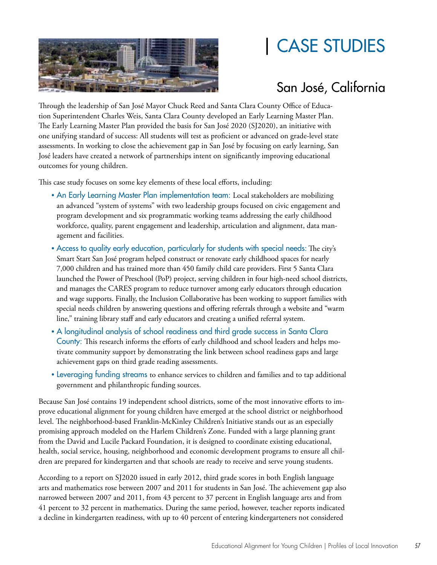

## | CASE STUDIES

## San José, California

Through the leadership of San José Mayor Chuck Reed and Santa Clara County Office of Education Superintendent Charles Weis, Santa Clara County developed an Early Learning Master Plan. The Early Learning Master Plan provided the basis for San José 2020 (SJ2020), an initiative with one unifying standard of success: All students will test as proficient or advanced on grade-level state assessments. In working to close the achievement gap in San José by focusing on early learning, San José leaders have created a network of partnerships intent on significantly improving educational outcomes for young children.

This case study focuses on some key elements of these local efforts, including:

- An Early Learning Master Plan implementation team: Local stakeholders are mobilizing an advanced "system of systems" with two leadership groups focused on civic engagement and program development and six programmatic working teams addressing the early childhood workforce, quality, parent engagement and leadership, articulation and alignment, data management and facilities.
- Access to quality early education, particularly for students with special needs: The city's Smart Start San José program helped construct or renovate early childhood spaces for nearly 7,000 children and has trained more than 450 family child care providers. First 5 Santa Clara launched the Power of Preschool (PoP) project, serving children in four high-need school districts, and manages the CARES program to reduce turnover among early educators through education and wage supports. Finally, the Inclusion Collaborative has been working to support families with special needs children by answering questions and offering referrals through a website and "warm line," training library staff and early educators and creating a unified referral system.
- A longitudinal analysis of school readiness and third grade success in Santa Clara County: This research informs the efforts of early childhood and school leaders and helps motivate community support by demonstrating the link between school readiness gaps and large achievement gaps on third grade reading assessments.
- Leveraging funding streams to enhance services to children and families and to tap additional government and philanthropic funding sources.

Because San José contains 19 independent school districts, some of the most innovative efforts to improve educational alignment for young children have emerged at the school district or neighborhood level. The neighborhood-based Franklin-McKinley Children's Initiative stands out as an especially promising approach modeled on the Harlem Children's Zone. Funded with a large planning grant from the David and Lucile Packard Foundation, it is designed to coordinate existing educational, health, social service, housing, neighborhood and economic development programs to ensure all children are prepared for kindergarten and that schools are ready to receive and serve young students.

According to a report on SJ2020 issued in early 2012, third grade scores in both English language arts and mathematics rose between 2007 and 2011 for students in San José. The achievement gap also narrowed between 2007 and 2011, from 43 percent to 37 percent in English language arts and from 41 percent to 32 percent in mathematics. During the same period, however, teacher reports indicated a decline in kindergarten readiness, with up to 40 percent of entering kindergarteners not considered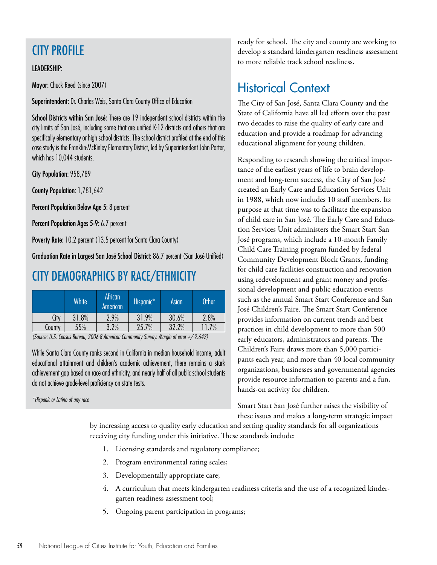### CITY PROFILE

#### LEADERSHIP:

Mayor: Chuck Reed (since 2007)

Superintendent: Dr. Charles Weis, Santa Clara County Office of Education

School Districts within San José: There are 19 independent school districts within the city limits of San José, including some that are unified K-12 districts and others that are specifically elementary or high school districts. The school district profiled at the end of this case study is the Franklin-McKinley Elementary District, led by Superintendent John Porter, which has 10.044 students.

City Population: 958,789

County Population: 1,781,642

Percent Population Below Age 5: 8 percent

Percent Population Ages 5-9: 6.7 percent

Poverty Rate: 10.2 percent (13.5 percent for Santa Clara County)

Graduation Rate in Largest San José School District: 86.7 percent (San José Unified)

### CITY DEMOGRAPHICS BY RACE/ETHNICITY

|        | White | African<br>American | Hispanic* | Asian | <b>Other</b> |
|--------|-------|---------------------|-----------|-------|--------------|
| City   | 31.8% | 2.9%                | 31.9%     | 30.6% | 2.8%         |
| County | 55%   | 3.2%                | 25.7%     | 32.2% | 11.7%        |

(Source: U.S. Census Bureau, 2006-8 American Community Survey. Margin of error +/-2.642)

While Santa Clara County ranks second in California in median household income, adult educational attainment and children's academic achievement, there remains a stark achievement gap based on race and ethnicity, and nearly half of all public school students do not achieve grade-level proficiency on state tests.

\*Hispanic or Latino of any race

ready for school. The city and county are working to develop a standard kindergarten readiness assessment to more reliable track school readiness.

## Historical Context

The City of San José, Santa Clara County and the State of California have all led efforts over the past two decades to raise the quality of early care and education and provide a roadmap for advancing educational alignment for young children.

Responding to research showing the critical importance of the earliest years of life to brain development and long-term success, the City of San José created an Early Care and Education Services Unit in 1988, which now includes 10 staff members. Its purpose at that time was to facilitate the expansion of child care in San José. The Early Care and Education Services Unit administers the Smart Start San José programs, which include a 10-month Family Child Care Training program funded by federal Community Development Block Grants, funding for child care facilities construction and renovation using redevelopment and grant money and professional development and public education events such as the annual Smart Start Conference and San José Children's Faire. The Smart Start Conference provides information on current trends and best practices in child development to more than 500 early educators, administrators and parents. The Children's Faire draws more than 5,000 participants each year, and more than 40 local community organizations, businesses and governmental agencies provide resource information to parents and a fun, hands-on activity for children.

Smart Start San José further raises the visibility of these issues and makes a long-term strategic impact

by increasing access to quality early education and setting quality standards for all organizations receiving city funding under this initiative. These standards include:

- 1. Licensing standards and regulatory compliance;
- 2. Program environmental rating scales;
- 3. Developmentally appropriate care;
- 4. A curriculum that meets kindergarten readiness criteria and the use of a recognized kindergarten readiness assessment tool;
- 5. Ongoing parent participation in programs;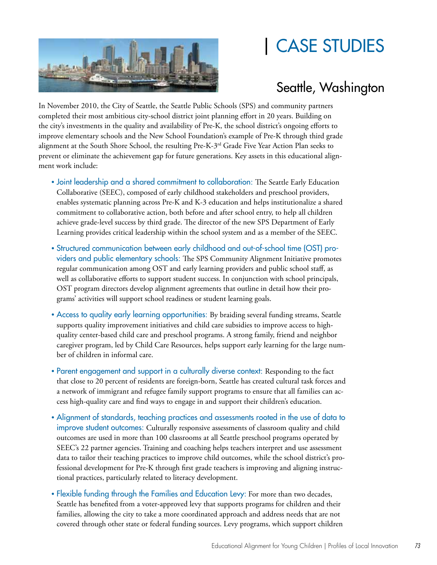## | CASE STUDIES



## Seattle, Washington

In November 2010, the City of Seattle, the Seattle Public Schools (SPS) and community partners completed their most ambitious city-school district joint planning effort in 20 years. Building on the city's investments in the quality and availability of Pre-K, the school district's ongoing efforts to improve elementary schools and the New School Foundation's example of Pre-K through third grade alignment at the South Shore School, the resulting Pre-K-3<sup>rd</sup> Grade Five Year Action Plan seeks to prevent or eliminate the achievement gap for future generations. Key assets in this educational alignment work include:

- Joint leadership and a shared commitment to collaboration: The Seattle Early Education Collaborative (SEEC), composed of early childhood stakeholders and preschool providers, enables systematic planning across Pre-K and K-3 education and helps institutionalize a shared commitment to collaborative action, both before and after school entry, to help all children achieve grade-level success by third grade. The director of the new SPS Department of Early Learning provides critical leadership within the school system and as a member of the SEEC.
- Structured communication between early childhood and out-of-school time (OST) providers and public elementary schools: The SPS Community Alignment Initiative promotes regular communication among OST and early learning providers and public school staff, as well as collaborative efforts to support student success. In conjunction with school principals, OST program directors develop alignment agreements that outline in detail how their programs' activities will support school readiness or student learning goals.
- Access to quality early learning opportunities: By braiding several funding streams, Seattle supports quality improvement initiatives and child care subsidies to improve access to highquality center-based child care and preschool programs. A strong family, friend and neighbor caregiver program, led by Child Care Resources, helps support early learning for the large number of children in informal care.
- Parent engagement and support in a culturally diverse context: Responding to the fact that close to 20 percent of residents are foreign-born, Seattle has created cultural task forces and a network of immigrant and refugee family support programs to ensure that all families can access high-quality care and find ways to engage in and support their children's education.
- Alignment of standards, teaching practices and assessments rooted in the use of data to improve student outcomes: Culturally responsive assessments of classroom quality and child outcomes are used in more than 100 classrooms at all Seattle preschool programs operated by SEEC's 22 partner agencies. Training and coaching helps teachers interpret and use assessment data to tailor their teaching practices to improve child outcomes, while the school district's professional development for Pre-K through first grade teachers is improving and aligning instructional practices, particularly related to literacy development.
- Flexible funding through the Families and Education Levy: For more than two decades, Seattle has benefited from a voter-approved levy that supports programs for children and their families, allowing the city to take a more coordinated approach and address needs that are not covered through other state or federal funding sources. Levy programs, which support children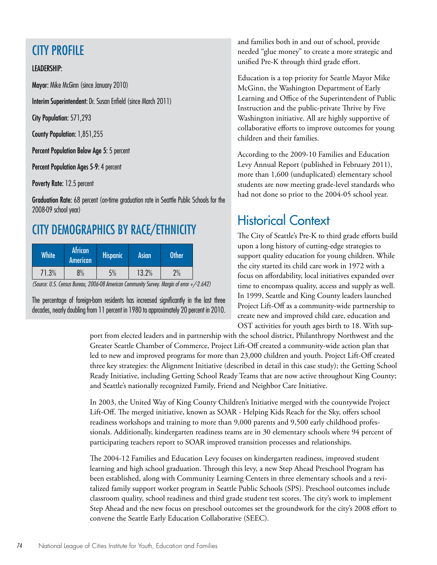### CITY PROFILE

#### LEADERSHIP:

Mayor: Mike McGinn (since January 2010)

Interim Superintendent: Dr. Susan Enfield (since March 2011)

City Population: 571,293

County Population: 1,851,255

Percent Population Below Age 5: 5 percent

Percent Population Ages 5-9: 4 percent

Poverty Rate: 12.5 percent

Graduation Rate: 68 percent (on-time graduation rate in Seattle Public Schools for the 2008-09 school year)

### CITY DEMOGRAPHICS BY RACE/ETHNICITY

| <b>White</b> | <b>African</b><br>American | <b>Hispanic</b> | <b>Asian</b> | Other |
|--------------|----------------------------|-----------------|--------------|-------|
| 71.3%        | 8%                         | 5%              | 13.2%        | 2%    |

(Source: U.S. Census Bureau, 2006-08 American Community Survey. Margin of error +/-2.642)

The percentage of foreign-born residents has increased significantly in the last three decades, nearly doubling from 11 percent in 1980 to approximately 20 percent in 2010.

and families both in and out of school, provide needed "glue money" to create a more strategic and unified Pre-K through third grade effort.

Education is a top priority for Seattle Mayor Mike McGinn, the Washington Department of Early Learning and Office of the Superintendent of Public Instruction and the public-private Thrive by Five Washington initiative. All are highly supportive of collaborative efforts to improve outcomes for young children and their families.

According to the 2009-10 Families and Education Levy Annual Report (published in February 2011), more than 1,600 (unduplicated) elementary school students are now meeting grade-level standards who had not done so prior to the 2004-05 school year.

## Historical Context

The City of Seattle's Pre-K to third grade efforts build upon a long history of cutting-edge strategies to support quality education for young children. While the city started its child care work in 1972 with a focus on affordability, local initiatives expanded over time to encompass quality, access and supply as well. In 1999, Seattle and King County leaders launched Project Lift-Off as a community-wide partnership to create new and improved child care, education and OST activities for youth ages birth to 18. With sup-

port from elected leaders and in partnership with the school district, Philanthropy Northwest and the Greater Seattle Chamber of Commerce, Project Lift-Off created a community-wide action plan that led to new and improved programs for more than 23,000 children and youth. Project Lift-Off created three key strategies: the Alignment Initiative (described in detail in this case study); the Getting School Ready Initiative, including Getting School Ready Teams that are now active throughout King County; and Seattle's nationally recognized Family, Friend and Neighbor Care Initiative.

In 2003, the United Way of King County Children's Initiative merged with the countywide Project Lift-Off. The merged initiative, known as SOAR - Helping Kids Reach for the Sky, offers school readiness workshops and training to more than 9,000 parents and 9,500 early childhood professionals. Additionally, kindergarten readiness teams are in 30 elementary schools where 94 percent of participating teachers report to SOAR improved transition processes and relationships.

The 2004-12 Families and Education Levy focuses on kindergarten readiness, improved student learning and high school graduation. Through this levy, a new Step Ahead Preschool Program has been established, along with Community Learning Centers in three elementary schools and a revitalized family support worker program in Seattle Public Schools (SPS). Preschool outcomes include classroom quality, school readiness and third grade student test scores. The city's work to implement Step Ahead and the new focus on preschool outcomes set the groundwork for the city's 2008 effort to convene the Seattle Early Education Collaborative (SEEC).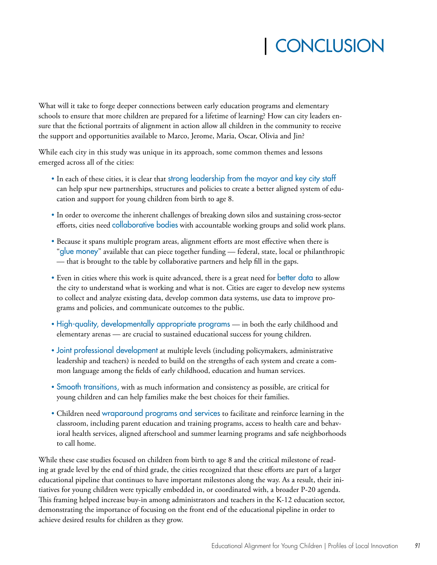## | CONCLUSION

What will it take to forge deeper connections between early education programs and elementary schools to ensure that more children are prepared for a lifetime of learning? How can city leaders ensure that the fictional portraits of alignment in action allow all children in the community to receive the support and opportunities available to Marco, Jerome, Maria, Oscar, Olivia and Jin?

While each city in this study was unique in its approach, some common themes and lessons emerged across all of the cities:

- In each of these cities, it is clear that strong leadership from the mayor and key city staff can help spur new partnerships, structures and policies to create a better aligned system of education and support for young children from birth to age 8.
- In order to overcome the inherent challenges of breaking down silos and sustaining cross-sector efforts, cities need collaborative bodies with accountable working groups and solid work plans.
- Because it spans multiple program areas, alignment efforts are most effective when there is "glue money" available that can piece together funding — federal, state, local or philanthropic — that is brought to the table by collaborative partners and help fill in the gaps.
- Even in cities where this work is quite advanced, there is a great need for better data to allow the city to understand what is working and what is not. Cities are eager to develop new systems to collect and analyze existing data, develop common data systems, use data to improve programs and policies, and communicate outcomes to the public.
- High-quality, developmentally appropriate programs in both the early childhood and elementary arenas — are crucial to sustained educational success for young children.
- Joint professional development at multiple levels (including policymakers, administrative leadership and teachers) is needed to build on the strengths of each system and create a common language among the fields of early childhood, education and human services.
- Smooth transitions, with as much information and consistency as possible, are critical for young children and can help families make the best choices for their families.
- Children need wraparound programs and services to facilitate and reinforce learning in the classroom, including parent education and training programs, access to health care and behavioral health services, aligned afterschool and summer learning programs and safe neighborhoods to call home.

While these case studies focused on children from birth to age 8 and the critical milestone of reading at grade level by the end of third grade, the cities recognized that these efforts are part of a larger educational pipeline that continues to have important milestones along the way. As a result, their initiatives for young children were typically embedded in, or coordinated with, a broader P-20 agenda. This framing helped increase buy-in among administrators and teachers in the K-12 education sector, demonstrating the importance of focusing on the front end of the educational pipeline in order to achieve desired results for children as they grow.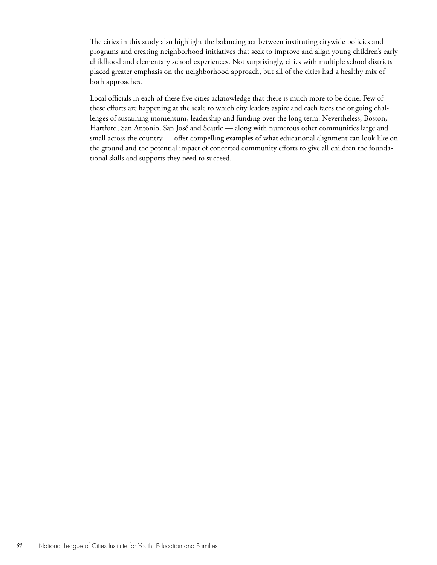The cities in this study also highlight the balancing act between instituting citywide policies and programs and creating neighborhood initiatives that seek to improve and align young children's early childhood and elementary school experiences. Not surprisingly, cities with multiple school districts placed greater emphasis on the neighborhood approach, but all of the cities had a healthy mix of both approaches.

Local officials in each of these five cities acknowledge that there is much more to be done. Few of these efforts are happening at the scale to which city leaders aspire and each faces the ongoing challenges of sustaining momentum, leadership and funding over the long term. Nevertheless, Boston, Hartford, San Antonio, San José and Seattle — along with numerous other communities large and small across the country — offer compelling examples of what educational alignment can look like on the ground and the potential impact of concerted community efforts to give all children the foundational skills and supports they need to succeed.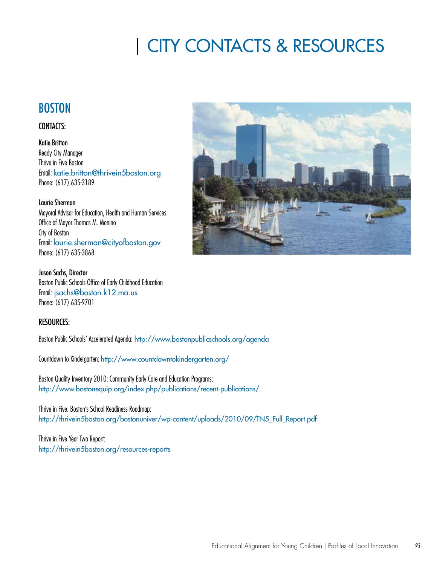## | CITY CONTACTS & RESOURCES

### **BOSTON**

#### CONTACTS:

Katie Britton Ready City Manager Thrive in Five Boston Email: katie.britton@thrivein5boston.org Phone: (617) 635-3189

#### Laurie Sherman

Mayoral Advisor for Education, Health and Human Services Office of Mayor Thomas M. Menino City of Boston Email: laurie.sherman@cityofboston.gov Phone: (617) 635-3868

Jason Sachs, Director Boston Public Schools Office of Early Childhood Education Email: jsachs@boston.k12.ma.us Phone: (617) 635-9701

#### RESOURCES:

Boston Public Schools' Accelerated Agenda: http://www.bostonpublicschools.org/agenda

Countdown to Kindergarten: http://www.countdowntokindergarten.org/

Boston Quality Inventory 2010: Community Early Care and Education Programs: http://www.bostonequip.org/index.php/publications/recent-publications/

Thrive in Five: Boston's School Readiness Roadmap: http://thrivein5boston.org/bostonuniver/wp-content/uploads/2010/09/TN5\_Full\_Report.pdf

Thrive in Five Year Two Report: http://thrivein5boston.org/resources-reports

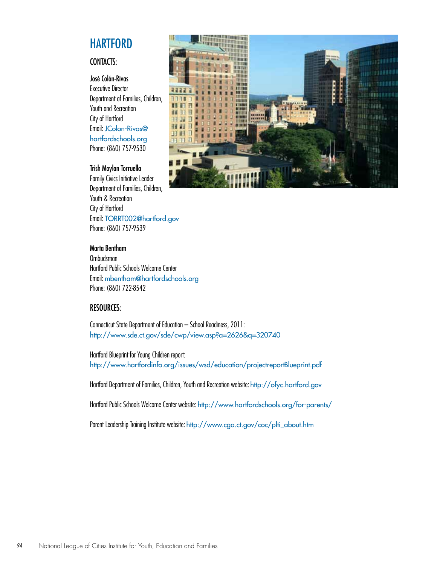### **HARTFORD**

#### CONTACTS:

José Colón-Rivas

Executive Director Department of Families, Children, Youth and Recreation City of Hartford Email: JColon-Rivas@ hartfordschools.org Phone: (860) 757-9530

#### Trish Moylan Torruella

Family Civics Initiative Leader Department of Families, Children, Youth & Recreation City of Hartford Email: TORRT002@hartford.gov Phone: (860) 757-9539



#### Marta Bentham

Ombudsman Hartford Public Schools Welcome Center Email: mbentham@hartfordschools.org Phone: (860) 722-8542

#### RESOURCES:

Connecticut State Department of Education – School Readiness, 2011: http://www.sde.ct.gov/sde/cwp/view.asp?a=2626&q=320740

Hartford Blueprint for Young Children report: http://www.hartfordinfo.org/issues/wsd/education/projectreportBlueprint.pdf

Hartford Department of Families, Children, Youth and Recreation website: http://ofyc.hartford.gov

Hartford Public Schools Welcome Center website: http://www.hartfordschools.org/for-parents/

Parent Leadership Training Institute website: http://www.cga.ct.gov/coc/plti\_about.htm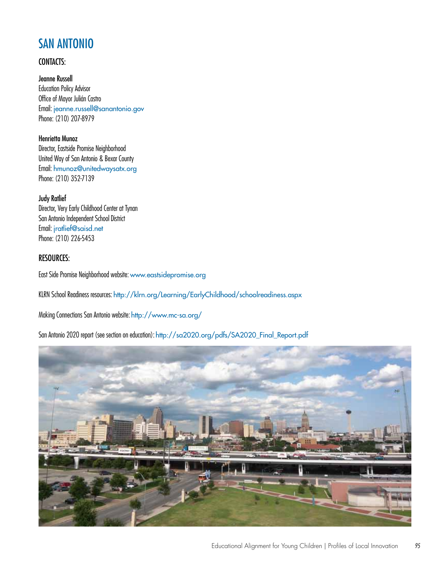### SAN ANTONIO

#### CONTACTS:

Jeanne Russell Education Policy Advisor Office of Mayor Julián Castro Email: jeanne.russell@sanantonio.gov Phone: (210) 207-8979

Henrietta Munoz Director, Eastside Promise Neighborhood United Way of San Antonio & Bexar County Email: hmunoz@unitedwaysatx.org Phone: (210) 352-7139

Judy Ratlief Director, Very Early Childhood Center at Tynan San Antonio Independent School District Email: jratlief@saisd.net Phone: (210) 226-5453

#### RESOURCES:

East Side Promise Neighborhood website: www.eastsidepromise.org

KLRN School Readiness resources: http://klrn.org/Learning/EarlyChildhood/schoolreadiness.aspx

Making Connections San Antonio website: http://www.mc-sa.org/

San Antonio 2020 report (see section on education): http://sa2020.org/pdfs/SA2020\_Final\_Report.pdf

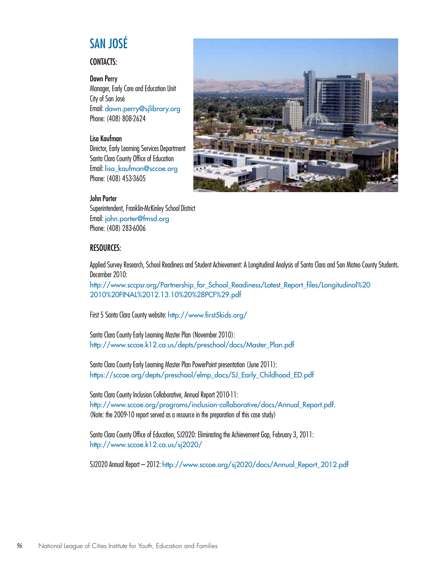## SAN JOSÉ

#### CONTACTS:

#### Dawn Perry

Manager, Early Care and Education Unit City of San José Email: dawn.perry@sjlibrary.org Phone: (408) 808-2624

#### Lisa Kaufman

Director, Early Learning Services Department Santa Clara County Office of Education Email: lisa\_kaufman@sccoe.org Phone: (408) 453-3605

#### John Porter

Superintendent, Franklin-McKinley School District Email: john.porter@fmsd.org Phone: (408) 283-6006

#### RESOURCES:

Applied Survey Research, School Readiness and Student Achievement: A Longitudinal Analysis of Santa Clara and San Mateo County Students. December 2010:

http://www.sccpsr.org/Partnership\_for\_School\_Readiness/Latest\_Report\_files/Longitudinal%20 2010%20FINAL%2012.13.10%20%28PCF%29.pdf

First 5 Santa Clara County website: http://www.first5kids.org/

Santa Clara County Early Learning Master Plan (November 2010): http://www.sccoe.k12.ca.us/depts/preschool/docs/Master\_Plan.pdf

Santa Clara County Early Learning Master Plan PowerPoint presentation (June 2011): https://sccoe.org/depts/preschool/elmp\_docs/SJ\_Early\_Childhood\_ED.pdf

Santa Clara County Inclusion Collaborative, Annual Report 2010-11: http://www.sccoe.org/programs/inclusion-collaborative/docs/Annual\_Report.pdf. (Note: the 2009-10 report served as a resource in the preparation of this case study)

Santa Clara County Office of Education, SJ2020: Eliminating the Achievement Gap, February 3, 2011: http://www.sccoe.k12.ca.us/sj2020/

SJ2020 Annual Report – 2012: http://www.sccoe.org/sj2020/docs/Annual\_Report\_2012.pdf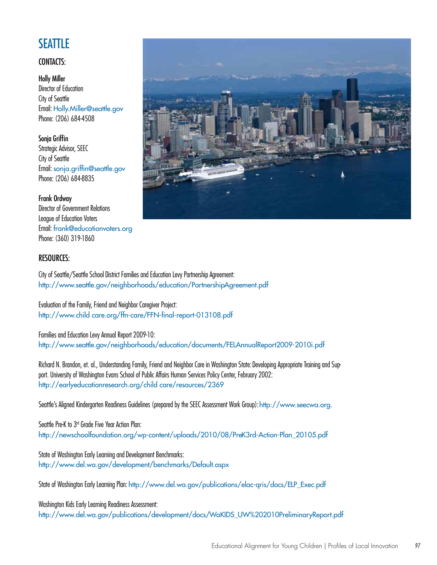## **SEATTLE**

#### CONTACTS:

Holly Miller Director of Education City of Seattle Email: Holly.Miller@seattle.gov Phone: (206) 684-4508

Sonja Griffin Strategic Advisor, SEEC City of Seattle Email: sonja.griffin@seattle.gov Phone: (206) 684-8835

#### Frank Ordway

Director of Government Relations League of Education Voters Email: frank@educationvoters.org Phone: (360) 319-1860

#### RESOURCES:

City of Seattle/Seattle School District Families and Education Levy Partnership Agreement: http://www.seattle.gov/neighborhoods/education/PartnershipAgreement.pdf

Evaluation of the Family, Friend and Neighbor Caregiver Project: http://www.child care.org/ffn-care/FFN-final-report-013108.pdf

Families and Education Levy Annual Report 2009-10: http://www.seattle.gov/neighborhoods/education/documents/FELAnnualReport2009-2010i.pdf

Richard N. Brandon, et. al., Understanding Family, Friend and Neighbor Care in Washington State: Developing Appropriate Training and Support. University of Washington Evans School of Public Affairs Human Services Policy Center, February 2002: http://earlyeducationresearch.org/child care/resources/2369

Seattle's Aligned Kindergarten Readiness Guidelines (prepared by the SEEC Assessment Work Group): http://www.seecwa.org.

Seattle Pre-K to 3rd Grade Five Year Action Plan: http://newschoolfoundation.org/wp-content/uploads/2010/08/PreK3rd-Action-Plan\_20105.pdf

State of Washington Early Learning and Development Benchmarks: http://www.del.wa.gov/development/benchmarks/Default.aspx

State of Washington Early Learning Plan: http://www.del.wa.gov/publications/elac-qris/docs/ELP\_Exec.pdf

Washington Kids Early Learning Readiness Assessment: http://www.del.wa.gov/publications/development/docs/WaKIDS\_UW%202010PreliminaryReport.pdf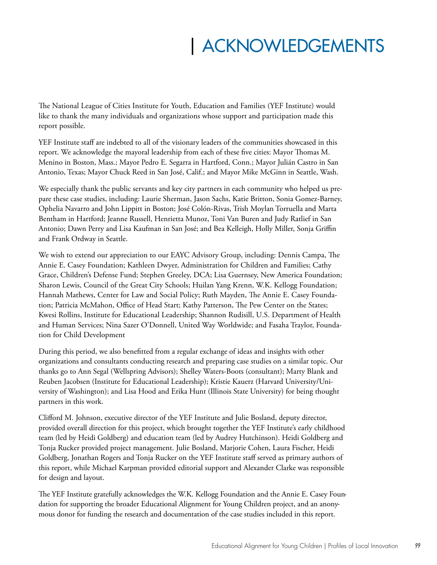## | ACKNOWLEDGEMENTS

The National League of Cities Institute for Youth, Education and Families (YEF Institute) would like to thank the many individuals and organizations whose support and participation made this report possible.

YEF Institute staff are indebted to all of the visionary leaders of the communities showcased in this report. We acknowledge the mayoral leadership from each of these five cities: Mayor Thomas M. Menino in Boston, Mass.; Mayor Pedro E. Segarra in Hartford, Conn.; Mayor Julián Castro in San Antonio, Texas; Mayor Chuck Reed in San José, Calif.; and Mayor Mike McGinn in Seattle, Wash.

We especially thank the public servants and key city partners in each community who helped us prepare these case studies, including: Laurie Sherman, Jason Sachs, Katie Britton, Sonia Gomez-Barney, Ophelia Navarro and John Lippitt in Boston; José Colón-Rivas, Trish Moylan Torruella and Marta Bentham in Hartford; Jeanne Russell, Henrietta Munoz, Toni Van Buren and Judy Ratlief in San Antonio; Dawn Perry and Lisa Kaufman in San José; and Bea Kelleigh, Holly Miller, Sonja Griffin and Frank Ordway in Seattle.

We wish to extend our appreciation to our EAYC Advisory Group, including: Dennis Campa, The Annie E. Casey Foundation; Kathleen Dwyer, Administration for Children and Families; Cathy Grace, Children's Defense Fund; Stephen Greeley, DCA; Lisa Guernsey, New America Foundation; Sharon Lewis, Council of the Great City Schools; Huilan Yang Krenn, W.K. Kellogg Foundation; Hannah Mathews, Center for Law and Social Policy; Ruth Mayden, The Annie E. Casey Foundation; Patricia McMahon, Office of Head Start; Kathy Patterson, The Pew Center on the States; Kwesi Rollins, Institute for Educational Leadership; Shannon Rudisill, U.S. Department of Health and Human Services; Nina Sazer O'Donnell, United Way Worldwide; and Fasaha Traylor, Foundation for Child Development

During this period, we also benefitted from a regular exchange of ideas and insights with other organizations and consultants conducting research and preparing case studies on a similar topic. Our thanks go to Ann Segal (Wellspring Advisors); Shelley Waters-Boots (consultant); Marty Blank and Reuben Jacobsen (Institute for Educational Leadership); Kristie Kauerz (Harvard University/University of Washington); and Lisa Hood and Erika Hunt (Illinois State University) for being thought partners in this work.

Clifford M. Johnson, executive director of the YEF Institute and Julie Bosland, deputy director, provided overall direction for this project, which brought together the YEF Institute's early childhood team (led by Heidi Goldberg) and education team (led by Audrey Hutchinson). Heidi Goldberg and Tonja Rucker provided project management. Julie Bosland, Marjorie Cohen, Laura Fischer, Heidi Goldberg, Jonathan Rogers and Tonja Rucker on the YEF Institute staff served as primary authors of this report, while Michael Karpman provided editorial support and Alexander Clarke was responsible for design and layout.

The YEF Institute gratefully acknowledges the W.K. Kellogg Foundation and the Annie E. Casey Foundation for supporting the broader Educational Alignment for Young Children project, and an anonymous donor for funding the research and documentation of the case studies included in this report.